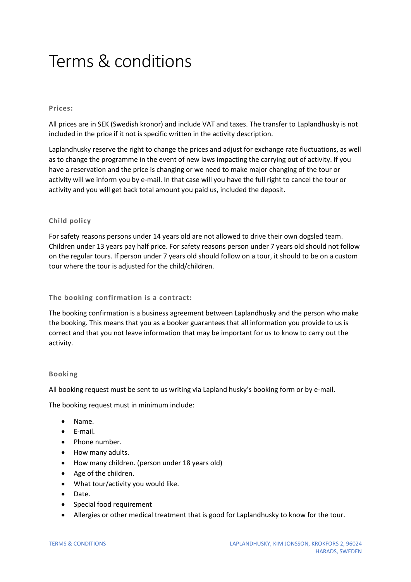# Terms & conditions

#### **Prices:**

All prices are in SEK (Swedish kronor) and include VAT and taxes. The transfer to Laplandhusky is not included in the price if it not is specific written in the activity description.

Laplandhusky reserve the right to change the prices and adjust for exchange rate fluctuations, as well as to change the programme in the event of new laws impacting the carrying out of activity. If you have a reservation and the price is changing or we need to make major changing of the tour or activity will we inform you by e-mail. In that case will you have the full right to cancel the tour or activity and you will get back total amount you paid us, included the deposit.

## **Child policy**

For safety reasons persons under 14 years old are not allowed to drive their own dogsled team. Children under 13 years pay half price. For safety reasons person under 7 years old should not follow on the regular tours. If person under 7 years old should follow on a tour, it should to be on a custom tour where the tour is adjusted for the child/children.

**The booking confirmation is a contract:** 

The booking confirmation is a business agreement between Laplandhusky and the person who make the booking. This means that you as a booker guarantees that all information you provide to us is correct and that you not leave information that may be important for us to know to carry out the activity.

#### **Booking**

All booking request must be sent to us writing via Lapland husky's booking form or by e-mail.

The booking request must in minimum include:

- Name.
- E-mail.
- Phone number.
- How many adults.
- How many children. (person under 18 years old)
- Age of the children.
- What tour/activity you would like.
- Date.
- Special food requirement
- Allergies or other medical treatment that is good for Laplandhusky to know for the tour.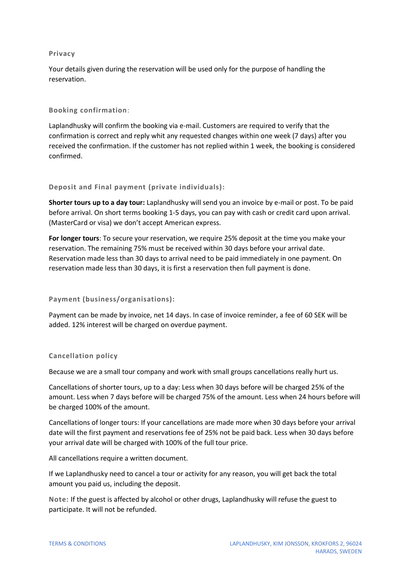#### **Privacy**

Your details given during the reservation will be used only for the purpose of handling the reservation.

## **Booking confirmation**:

Laplandhusky will confirm the booking via e-mail. Customers are required to verify that the confirmation is correct and reply whit any requested changes within one week (7 days) after you received the confirmation. If the customer has not replied within 1 week, the booking is considered confirmed.

# **Deposit and Final payment (private individuals):**

**Shorter tours up to a day tour:** Laplandhusky will send you an invoice by e-mail or post. To be paid before arrival. On short terms booking 1-5 days, you can pay with cash or credit card upon arrival. (MasterCard or visa) we don't accept American express.

**For longer tours**: To secure your reservation, we require 25% deposit at the time you make your reservation. The remaining 75% must be received within 30 days before your arrival date. Reservation made less than 30 days to arrival need to be paid immediately in one payment. On reservation made less than 30 days, it is first a reservation then full payment is done.

## **Payment (business/organisations):**

Payment can be made by invoice, net 14 days. In case of invoice reminder, a fee of 60 SEK will be added. 12% interest will be charged on overdue payment.

## **Cancellation policy**

Because we are a small tour company and work with small groups cancellations really hurt us.

Cancellations of shorter tours, up to a day: Less when 30 days before will be charged 25% of the amount. Less when 7 days before will be charged 75% of the amount. Less when 24 hours before will be charged 100% of the amount.

Cancellations of longer tours: If your cancellations are made more when 30 days before your arrival date will the first payment and reservations fee of 25% not be paid back. Less when 30 days before your arrival date will be charged with 100% of the full tour price.

All cancellations require a written document.

If we Laplandhusky need to cancel a tour or activity for any reason, you will get back the total amount you paid us, including the deposit.

**Note:** If the guest is affected by alcohol or other drugs, Laplandhusky will refuse the guest to participate. It will not be refunded.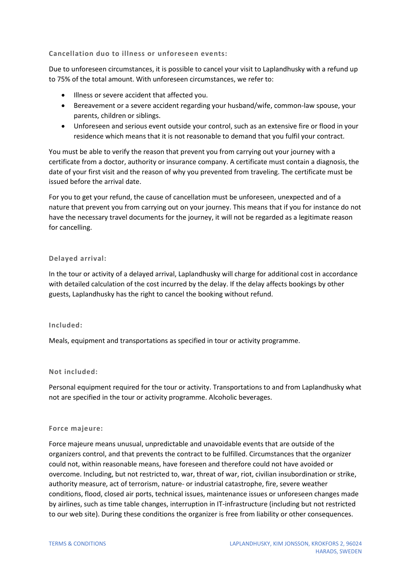## **Cancellation duo to illness or unforeseen events:**

Due to unforeseen circumstances, it is possible to cancel your visit to Laplandhusky with a refund up to 75% of the total amount. With unforeseen circumstances, we refer to:

- Illness or severe accident that affected you.
- Bereavement or a severe accident regarding your husband/wife, common-law spouse, your parents, children or siblings.
- Unforeseen and serious event outside your control, such as an extensive fire or flood in your residence which means that it is not reasonable to demand that you fulfil your contract.

You must be able to verify the reason that prevent you from carrying out your journey with a certificate from a doctor, authority or insurance company. A certificate must contain a diagnosis, the date of your first visit and the reason of why you prevented from traveling. The certificate must be issued before the arrival date.

For you to get your refund, the cause of cancellation must be unforeseen, unexpected and of a nature that prevent you from carrying out on your journey. This means that if you for instance do not have the necessary travel documents for the journey, it will not be regarded as a legitimate reason for cancelling.

## **Delayed arrival:**

In the tour or activity of a delayed arrival, Laplandhusky will charge for additional cost in accordance with detailed calculation of the cost incurred by the delay. If the delay affects bookings by other guests, Laplandhusky has the right to cancel the booking without refund.

## **Included:**

Meals, equipment and transportations as specified in tour or activity programme.

## **Not included:**

Personal equipment required for the tour or activity. Transportations to and from Laplandhusky what not are specified in the tour or activity programme. Alcoholic beverages.

## **Force majeure:**

Force majeure means unusual, unpredictable and unavoidable events that are outside of the organizers control, and that prevents the contract to be fulfilled. Circumstances that the organizer could not, within reasonable means, have foreseen and therefore could not have avoided or overcome. Including, but not restricted to, war, threat of war, riot, civilian insubordination or strike, authority measure, act of terrorism, nature- or industrial catastrophe, fire, severe weather conditions, flood, closed air ports, technical issues, maintenance issues or unforeseen changes made by airlines, such as time table changes, interruption in IT-infrastructure (including but not restricted to our web site). During these conditions the organizer is free from liability or other consequences.